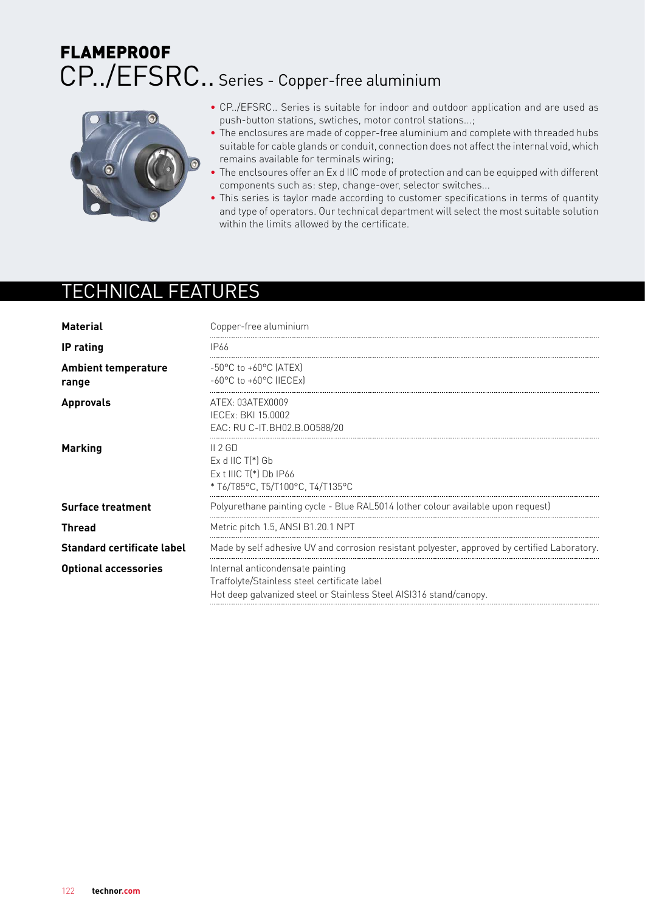# CP../EFSRC.. Series - Copper-free aluminium **FLAMEPROOF**



- CP../EFSRC.. Series is suitable for indoor and outdoor application and are used as push-button stations, swtiches, motor control stations...;
- The enclosures are made of copper-free aluminium and complete with threaded hubs suitable for cable glands or conduit, connection does not affect the internal void, which remains available for terminals wiring;
- The enclsoures offer an Ex d IIC mode of protection and can be equipped with different components such as: step, change-over, selector switches...
- This series is taylor made according to customer specifications in terms of quantity and type of operators. Our technical department will select the most suitable solution within the limits allowed by the certificate.

## TECHNICAL FEATURES

| <b>Material</b>                     | Copper-free aluminium                                                                                                                                  |  |  |  |  |  |
|-------------------------------------|--------------------------------------------------------------------------------------------------------------------------------------------------------|--|--|--|--|--|
| <b>IP</b> rating                    | IP66                                                                                                                                                   |  |  |  |  |  |
| <b>Ambient temperature</b><br>range | $-50^{\circ}$ C to $+60^{\circ}$ C (ATEX)<br>$-60^{\circ}$ C to $+60^{\circ}$ C (IECEx)                                                                |  |  |  |  |  |
| <b>Approvals</b>                    | ATEX: 03ATEX0009<br>IECEx: BKI 15,0002<br>EAC: RU C-IT.BH02.B.00588/20                                                                                 |  |  |  |  |  |
| <b>Marking</b>                      | II 2GD<br>$Ex$ d IIC $T(*)$ Gb<br>$Ex$ t IIIC $T(*)$ Db IP66<br>* T6/T85°C, T5/T100°C, T4/T135°C                                                       |  |  |  |  |  |
| <b>Surface treatment</b>            | Polyurethane painting cycle - Blue RAL5014 (other colour available upon request)                                                                       |  |  |  |  |  |
| <b>Thread</b>                       | Metric pitch 1.5, ANSI B1.20.1 NPT                                                                                                                     |  |  |  |  |  |
| <b>Standard certificate label</b>   | Made by self adhesive UV and corrosion resistant polyester, approved by certified Laboratory.                                                          |  |  |  |  |  |
| <b>Optional accessories</b>         | Internal anticondensate painting<br>Traffolyte/Stainless steel certificate label<br>Hot deep galvanized steel or Stainless Steel AISI316 stand/canopy. |  |  |  |  |  |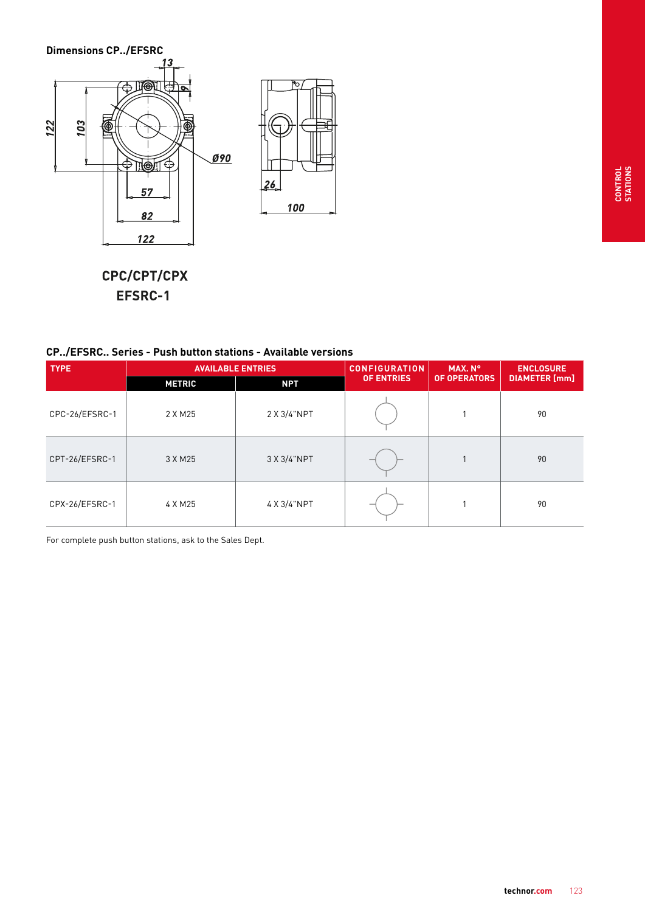

CPC/CPT/CPX EFSRC-1

|  |  | <b>CP/EFSRC Series - Push button stations - Available versions</b> |  |  |  |
|--|--|--------------------------------------------------------------------|--|--|--|
|--|--|--------------------------------------------------------------------|--|--|--|

| <b>TYPE</b>    |               | <b>AVAILABLE ENTRIES</b>                               | <b>CONFIGURATION</b> | MAX. N°              | <b>ENCLOSURE</b> |
|----------------|---------------|--------------------------------------------------------|----------------------|----------------------|------------------|
|                | <b>METRIC</b> | <b>OF OPERATORS</b><br><b>OF ENTRIES</b><br><b>NPT</b> |                      | <b>DIAMETER</b> [mm] |                  |
| CPC-26/EFSRC-1 | 2 X M 25      | 2 X 3/4"NPT                                            |                      |                      | 90               |
| CPT-26/EFSRC-1 | 3 X M 25      | 3 X 3/4"NPT                                            |                      |                      | 90               |
| CPX-26/EFSRC-1 | 4 X M25       | 4 X 3/4"NPT                                            |                      |                      | 90               |

For complete push button stations, ask to the Sales Dept.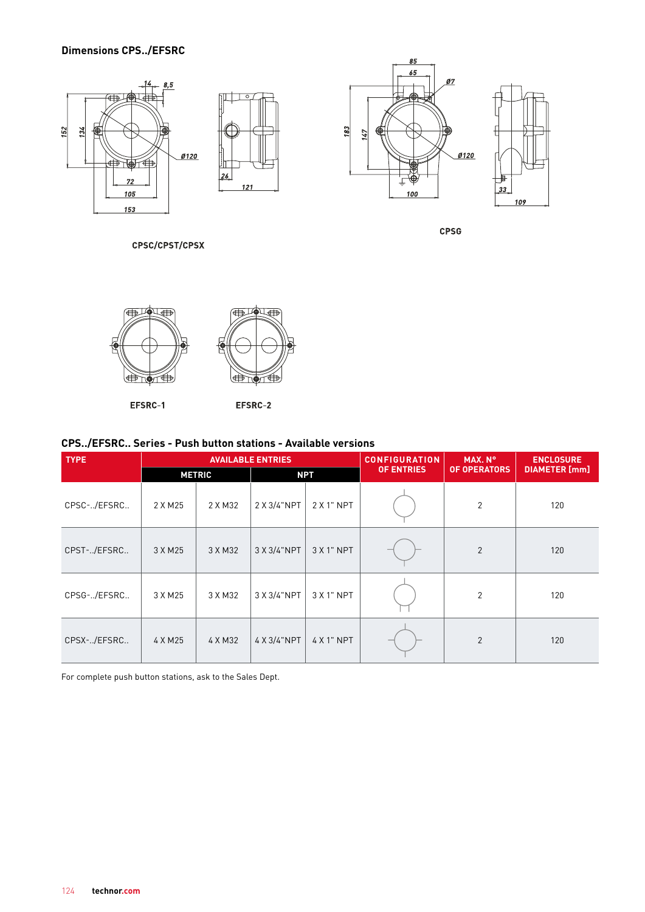### **Dimensions CPS../EFSRC**



CPSC/CPST/CPSX

85



EFSRC-1

EFSRC-2

#### **CPS../EFSRC.. Series - Push button stations - Available versions**

| <b>TYPE</b> | <b>AVAILABLE ENTRIES</b> |         |             |            | <b>CONFIGURATION</b> | MAX. N°             | <b>ENCLOSURE</b>     |
|-------------|--------------------------|---------|-------------|------------|----------------------|---------------------|----------------------|
|             | <b>METRIC</b>            |         | <b>NPT</b>  |            | <b>OF ENTRIES</b>    | <b>OF OPERATORS</b> | <b>DIAMETER</b> [mm] |
| CPSC-/EFSRC | 2 X M 25                 | 2 X M32 | 2 X 3/4"NPT | $2X1"$ NPT |                      | $\mathbf{2}$        | 120                  |
| CPST-/EFSRC | 3 X M25                  | 3 X M32 | 3 X 3/4"NPT | $3X1"$ NPT |                      | 2                   | 120                  |
| CPSG-/EFSRC | 3 X M 25                 | 3 X M32 | 3 X 3/4"NPT | 3 X 1" NPT |                      | $\overline{2}$      | 120                  |
| CPSX-/EFSRC | 4 X M25                  | 4 X M32 | 4 X 3/4"NPT | 4 X 1" NPT |                      | $\overline{2}$      | 120                  |

For complete push button stations, ask to the Sales Dept.